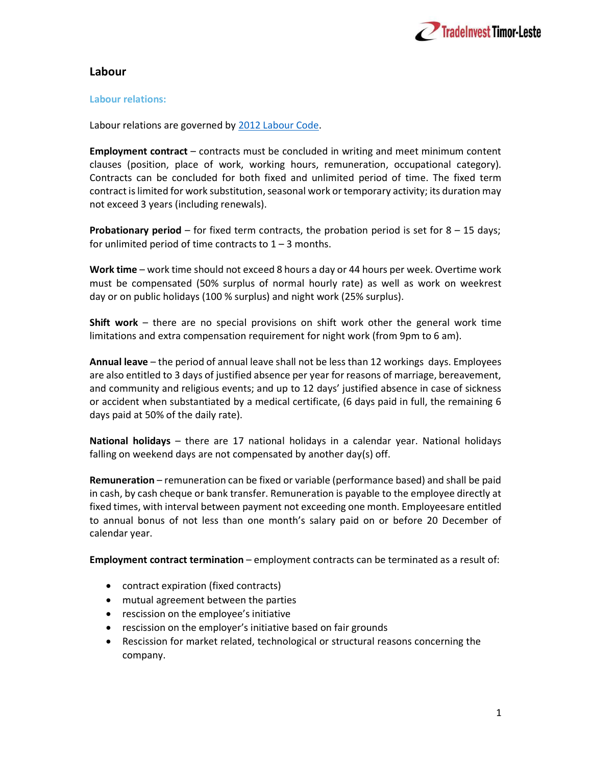

# Labour

# Labour relations:

Labour relations are governed by 2012 Labour Code.

Employment contract – contracts must be concluded in writing and meet minimum content clauses (position, place of work, working hours, remuneration, occupational category). Contracts can be concluded for both fixed and unlimited period of time. The fixed term contract is limited for work substitution, seasonal work or temporary activity; its duration may not exceed 3 years (including renewals).

**Probationary period** – for fixed term contracts, the probation period is set for  $8 - 15$  days; for unlimited period of time contracts to  $1 - 3$  months.

Work time – work time should not exceed 8 hours a day or 44 hours per week. Overtime work must be compensated (50% surplus of normal hourly rate) as well as work on weekrest day or on public holidays (100 % surplus) and night work (25% surplus).

Shift work – there are no special provisions on shift work other the general work time limitations and extra compensation requirement for night work (from 9pm to 6 am).

Annual leave – the period of annual leave shall not be less than 12 workings days. Employees are also entitled to 3 days of justified absence per year for reasons of marriage, bereavement, and community and religious events; and up to 12 days' justified absence in case of sickness or accident when substantiated by a medical certificate, (6 days paid in full, the remaining 6 days paid at 50% of the daily rate).

National holidays – there are 17 national holidays in a calendar year. National holidays falling on weekend days are not compensated by another day(s) off.

Remuneration – remuneration can be fixed or variable (performance based) and shall be paid in cash, by cash cheque or bank transfer. Remuneration is payable to the employee directly at fixed times, with interval between payment not exceeding one month. Employees are entitled to annual bonus of not less than one month's salary paid on or before 20 December of calendar year.

Employment contract termination – employment contracts can be terminated as a result of:

- contract expiration (fixed contracts)
- mutual agreement between the parties
- rescission on the employee's initiative
- rescission on the employer's initiative based on fair grounds
- Rescission for market related, technological or structural reasons concerning the company.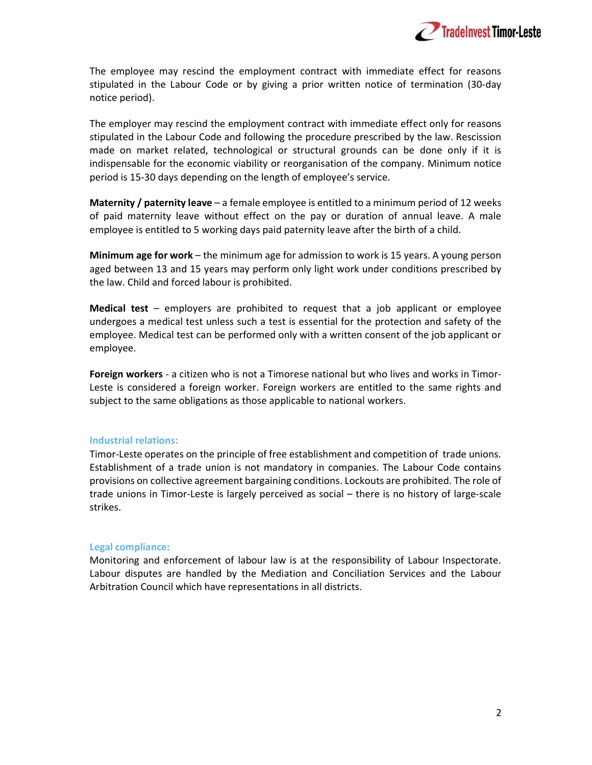

The employee may rescind the employment contract with immediate effect for reasons stipulated in the Labour Code or by giving a prior written notice of termination (30-day notice period).

The employer may rescind the employment contract with immediate effect only for reasons stipulated in the Labour Code and following the procedure prescribed by the law. Rescission made on market related, technological or structural grounds can be done only if it is indispensable for the economic viability or reorganisation of the company. Minimum notice period is 15-30 days depending on the length of employee's service.

**Maternity / paternity leave** – a female employee is entitled to a minimum period of 12 weeks of paid maternity leave without effect on the pay or duration of annual leave. A male employee is entitled to 5 working days paid paternity leave after the birth of a child.

Minimum age for work – the minimum age for admission to work is 15 years. A young person aged between 13 and 15 years may perform only light work under conditions prescribed by the law. Child and forced labour is prohibited.

**Medical test** – employers are prohibited to request that a job applicant or employee undergoes a medical test unless such a test is essential for the protection and safety of the employee. Medical test can be performed only with a written consent of the job applicant or employee.

Foreign workers - a citizen who is not a Timorese national but who lives and works in Timor-Leste is considered a foreign worker. Foreign workers are entitled to the same rights and subject to the same obligations as those applicable to national workers.

### Industrial relations:

Timor-Leste operates on the principle of free establishment and competition of trade unions. Establishment of a trade union is not mandatory in companies. The Labour Code contains provisions on collective agreement bargaining conditions. Lockouts are prohibited. The role of trade unions in Timor-Leste is largely perceived as social – there is no history of large-scale strikes.

#### Legal compliance:

Monitoring and enforcement of labour law is at the responsibility of Labour Inspectorate. Labour disputes are handled by the Mediation and Conciliation Services and the Labour Arbitration Council which have representations in all districts.